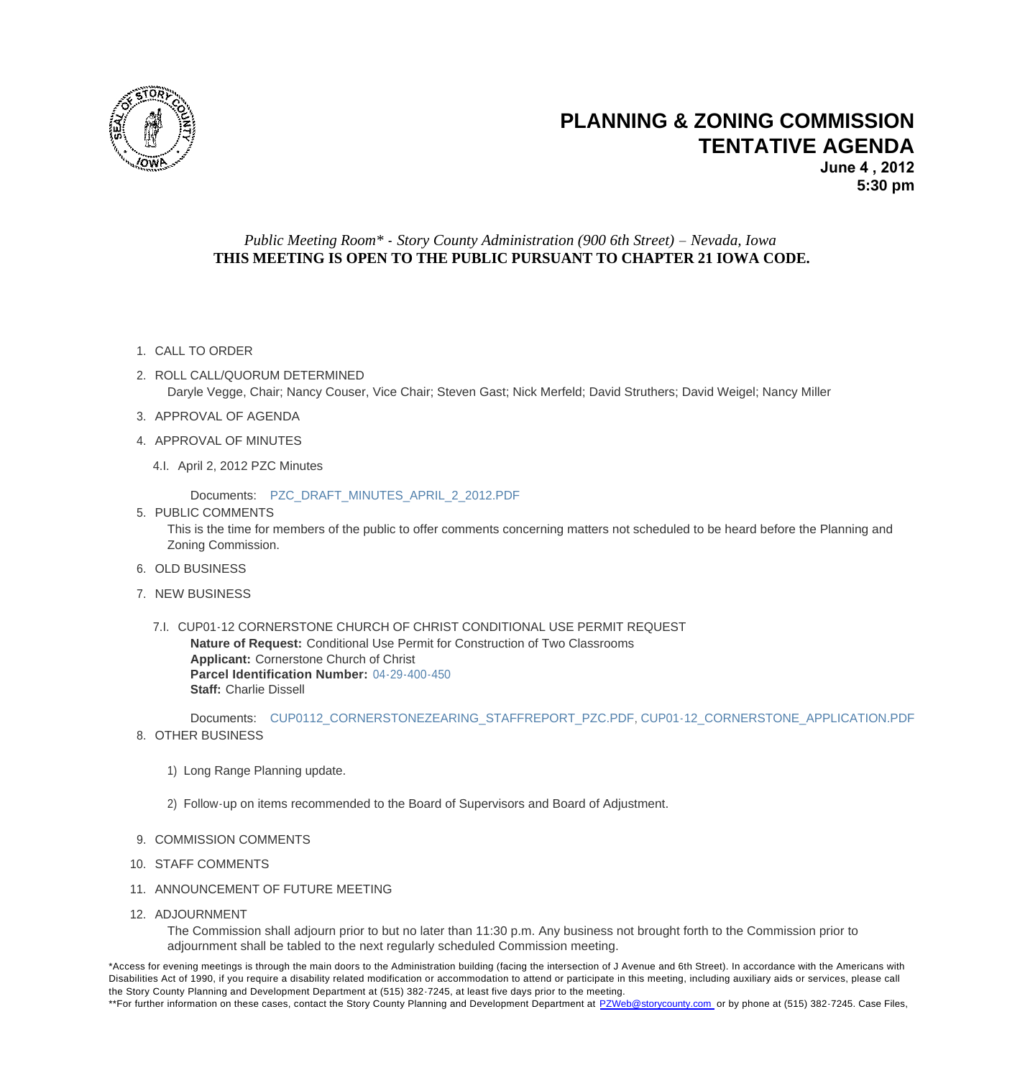

## **PLANNING & ZONING TENTATIVE AGENDA**

## *Public Meeting Room\* - Story County Administration (900 6th Street) – Nevada, Iowa* **THIS MEETING IS OPEN TO THE PUBLIC PURSUANT TO CHAPTER 21 IOWA CODE.**

- 1. CALL TO ORDER
- 2. ROLL CALL/QUORUM DETERMINED Daryle Vegge, Chair; Nancy Couser, Vice Chair; Steven Gast; Nick Merfeld; David Struthers; David Weigel; Nan
- 3. APPROVAL OF AGENDA
- 4. APPROVAL OF MINUTES
	- 4.I. April 2, 2012 PZC Minutes

Documents: PZC\_DRAFT\_MINUTES\_APRIL\_2\_2012.PDF

5. PUBLIC COMMENTS

This is the time for members of the public to offer comments concerning matters not scheduled to be heard before Zoning Commissio[n.](http://www.storycountyiowa.gov/Files/AgendaCenter/Items/442/PZC_Draft_Minutes_April_2_2012_201205031137472424.pdf)

- 6. OLD BUSINESS
- 7. NEW BUSINESS
	- 7.I. CUP01-12 CORNERSTONE CHURCH OF CHRIST CONDITIONAL USE PERMIT REQUEST **Nature of Request:** Conditional Use Permit for Construction of Two Classrooms **Applicant:** Cornerstone Church of Christ **Parcel Identification Number:** 04-29-400-450 **Staff:** Charlie Dissell

Documents: CUP0112\_CORNERSTONEZEARING\_STAFFREPORT\_PZC.PDF, CUP01-12\_CORNERSTOI 8. OTHER BUSINESS

- 1) Long Range Pl[anning update.](http://www.storycountyiowa.gov/Files/AgendaCenter/Items/439/CUP0112_CornerstoneZearing_StaffReport_PZC_201205231220140129.pdf)
- 2) Follow-up on items recommended to the Board of Supervisors and Board of Adjustment.
- 9. COMMISSION COMMENTS
- 10. STAFF COMMENTS
- 11. ANNOUNCEMENT OF FUTURE MEETING
- 12. ADJOURNMENT

The Commission shall adjourn prior to but no later than 11:30 p.m. Any business not brought forth to the Comm adjournment shall be tabled to the next regularly scheduled Commission meeting.

\*Access for evening meetings is through the main doors to the Administration building (facing the intersection of J Avenue and 6th Street). In accordan Disabilities Act of 1990, if you require a disability related modification or accommodation to attend or participate in this meeting, including auxiliary ai the Story County Planning and Development Department at (515) 382-7245, at least five days prior to the meeting. \*\*For further information on these cases, contact the Story County Planning and Development Department at PZWeb@storycounty.com or by phone at